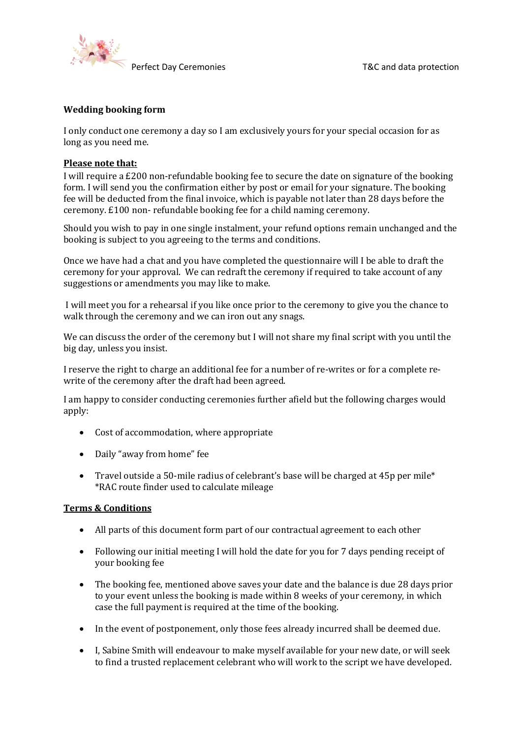

### **Wedding booking form**

I only conduct one ceremony a day so I am exclusively yours for your special occasion for as long as you need me.

#### **Please note that:**

I will require a £200 non-refundable booking fee to secure the date on signature of the booking form. I will send you the confirmation either by post or email for your signature. The booking fee will be deducted from the final invoice, which is payable not later than 28 days before the ceremony. £100 non- refundable booking fee for a child naming ceremony.

Should you wish to pay in one single instalment, your refund options remain unchanged and the booking is subject to you agreeing to the terms and conditions.

Once we have had a chat and you have completed the questionnaire will I be able to draft the ceremony for your approval. We can redraft the ceremony if required to take account of any suggestions or amendments you may like to make.

I will meet you for a rehearsal if you like once prior to the ceremony to give you the chance to walk through the ceremony and we can iron out any snags.

We can discuss the order of the ceremony but I will not share my final script with you until the big day, unless you insist.

I reserve the right to charge an additional fee for a number of re-writes or for a complete rewrite of the ceremony after the draft had been agreed.

I am happy to consider conducting ceremonies further afield but the following charges would apply:

- Cost of accommodation, where appropriate
- Daily "away from home" fee
- Travel outside a 50-mile radius of celebrant's base will be charged at 45p per mile\* \*RAC route finder used to calculate mileage

#### **Terms & Conditions**

- All parts of this document form part of our contractual agreement to each other
- Following our initial meeting I will hold the date for you for 7 days pending receipt of vour booking fee
- The booking fee, mentioned above saves your date and the balance is due 28 days prior to your event unless the booking is made within 8 weeks of your ceremony, in which case the full payment is required at the time of the booking.
- In the event of postponement, only those fees already incurred shall be deemed due.
- I, Sabine Smith will endeavour to make myself available for your new date, or will seek to find a trusted replacement celebrant who will work to the script we have developed.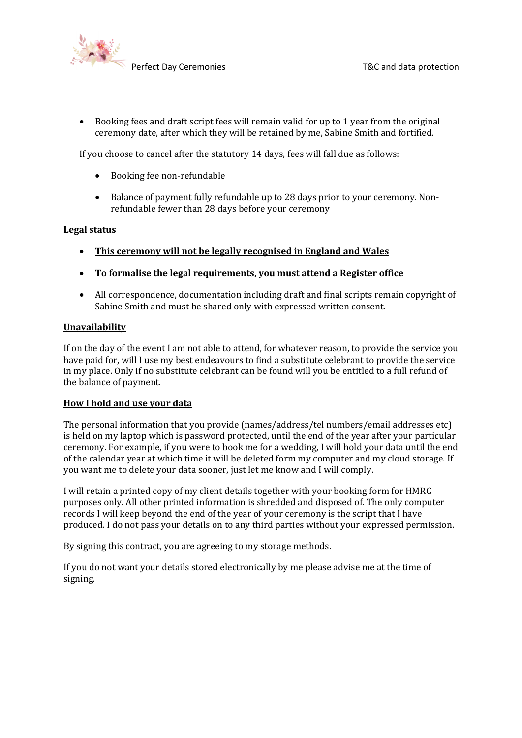

• Booking fees and draft script fees will remain valid for up to 1 year from the original ceremony date, after which they will be retained by me, Sabine Smith and fortified.

If you choose to cancel after the statutory 14 days, fees will fall due as follows:

- Booking fee non-refundable
- Balance of payment fully refundable up to 28 days prior to your ceremony. Nonrefundable fewer than 28 days before your ceremony

#### **Legal status**

- This ceremony will not be legally recognised in England and Wales
- To formalise the legal requirements, you must attend a Register office
- All correspondence, documentation including draft and final scripts remain copyright of Sabine Smith and must be shared only with expressed written consent.

#### **Unavailability**

If on the day of the event I am not able to attend, for whatever reason, to provide the service you have paid for, will I use my best endeavours to find a substitute celebrant to provide the service in my place. Only if no substitute celebrant can be found will you be entitled to a full refund of the balance of payment.

#### **How I hold and use your data**

The personal information that you provide (names/address/tel numbers/email addresses etc) is held on my laptop which is password protected, until the end of the year after your particular ceremony. For example, if you were to book me for a wedding. I will hold your data until the end of the calendar year at which time it will be deleted form my computer and my cloud storage. If you want me to delete your data sooner, just let me know and I will comply.

I will retain a printed copy of my client details together with your booking form for HMRC purposes only. All other printed information is shredded and disposed of. The only computer records I will keep beyond the end of the year of your ceremony is the script that I have produced. I do not pass your details on to any third parties without your expressed permission.

By signing this contract, you are agreeing to my storage methods.

If you do not want your details stored electronically by me please advise me at the time of signing.